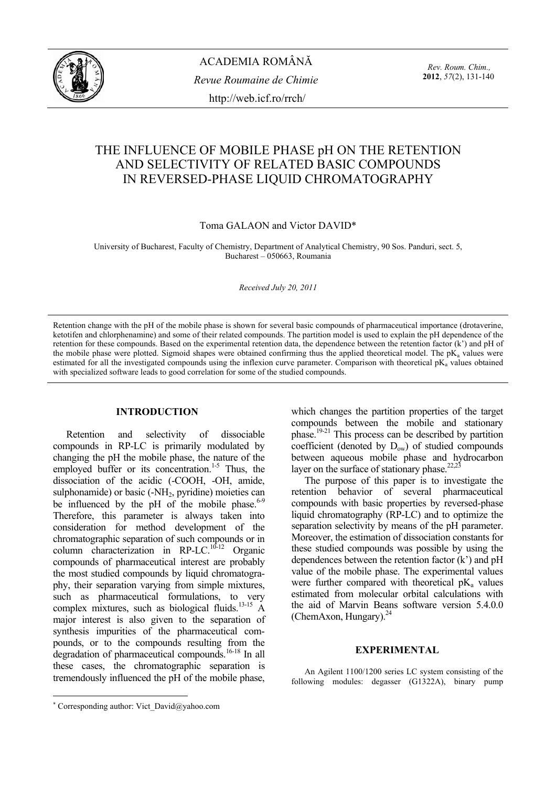

ACADEMIA ROMÂNĂ *Revue Roumaine de Chimie*  http://web.icf.ro/rrch/

*Rev. Roum. Chim.,*  **2012**, *57*(2), 131-140

# THE INFLUENCE OF MOBILE PHASE pH ON THE RETENTION AND SELECTIVITY OF RELATED BASIC COMPOUNDS IN REVERSED-PHASE LIQUID CHROMATOGRAPHY

## Toma GALAON and Victor DAVID\*

University of Bucharest, Faculty of Chemistry, Department of Analytical Chemistry, 90 Sos. Panduri, sect. 5, Bucharest – 050663, Roumania

#### *Received July 20, 2011*

Retention change with the pH of the mobile phase is shown for several basic compounds of pharmaceutical importance (drotaverine, ketotifen and chlorphenamine) and some of their related compounds. The partition model is used to explain the pH dependence of the retention for these compounds. Based on the experimental retention data, the dependence between the retention factor (k') and pH of the mobile phase were plotted. Sigmoid shapes were obtained confirming thus the applied theoretical model. The  $pK_a$  values were estimated for all the investigated compounds using the inflexion curve parameter. Comparison with theoretical  $pK_a$  values obtained with specialized software leads to good correlation for some of the studied compounds.

### **INTRODUCTION**<sup>∗</sup>

Retention and selectivity of dissociable compounds in RP-LC is primarily modulated by changing the pH the mobile phase, the nature of the employed buffer or its concentration.<sup>1-5</sup> Thus, the dissociation of the acidic (-COOH, -OH, amide, sulphonamide) or basic  $(-NH<sub>2</sub>, pyridine)$  moieties can be influenced by the pH of the mobile phase. $6-9$ Therefore, this parameter is always taken into consideration for method development of the chromatographic separation of such compounds or in column characterization in RP-LC.<sup>10-12</sup> Organic compounds of pharmaceutical interest are probably the most studied compounds by liquid chromatography, their separation varying from simple mixtures, such as pharmaceutical formulations, to very complex mixtures, such as biological fluids.<sup>13-15</sup> A major interest is also given to the separation of synthesis impurities of the pharmaceutical compounds, or to the compounds resulting from the degradation of pharmaceutical compounds.<sup>16-18</sup> In all these cases, the chromatographic separation is tremendously influenced the pH of the mobile phase,

which changes the partition properties of the target compounds between the mobile and stationary phase.19-21 This process can be described by partition coefficient (denoted by  $D_{ow}$ ) of studied compounds between aqueous mobile phase and hydrocarbon layer on the surface of stationary phase.<sup>22,23</sup>

The purpose of this paper is to investigate the retention behavior of several pharmaceutical compounds with basic properties by reversed-phase liquid chromatography (RP-LC) and to optimize the separation selectivity by means of the pH parameter. Moreover, the estimation of dissociation constants for these studied compounds was possible by using the dependences between the retention factor (k') and pH value of the mobile phase. The experimental values were further compared with theoretical  $pK_a$  values estimated from molecular orbital calculations with the aid of Marvin Beans software version 5.4.0.0 (ChemAxon, Hungary). $^{24}$ 

### **EXPERIMENTAL**

An Agilent 1100/1200 series LC system consisting of the following modules: degasser (G1322A), binary pump

 $\overline{a}$ 

<sup>∗</sup> Corresponding author: Vict\_David@yahoo.com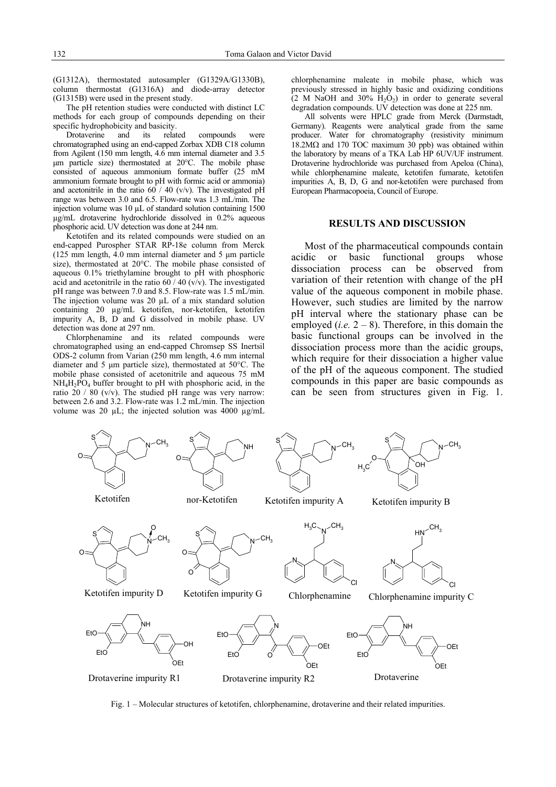(G1312A), thermostated autosampler (G1329A/G1330B), column thermostat (G1316A) and diode-array detector (G1315B) were used in the present study.

The pH retention studies were conducted with distinct LC methods for each group of compounds depending on their specific hydrophobicity and basicity.

Drotaverine and its related compounds were chromatographed using an end-capped Zorbax XDB C18 column from Agilent (150 mm length, 4.6 mm internal diameter and 3.5 µm particle size) thermostated at 20°C. The mobile phase consisted of aqueous ammonium formate buffer (25 mM ammonium formate brought to pH with formic acid or ammonia) and acetonitrile in the ratio  $60 / 40$  (v/v). The investigated pH range was between 3.0 and 6.5. Flow-rate was 1.3 mL/min. The injection volume was 10 µL of standard solution containing 1500 µg/mL drotaverine hydrochloride dissolved in 0.2% aqueous phosphoric acid. UV detection was done at 244 nm.

Ketotifen and its related compounds were studied on an end-capped Purospher STAR RP-18e column from Merck  $(125 \text{ mm length}, 4.0 \text{ mm internal diameter and } 5 \text{ \mu m particle})$ size), thermostated at 20°C. The mobile phase consisted of aqueous 0.1% triethylamine brought to pH with phosphoric acid and acetonitrile in the ratio  $60 / 40$  (v/v). The investigated pH range was between 7.0 and 8.5. Flow-rate was 1.5 mL/min. The injection volume was 20  $\mu$ L of a mix standard solution containing 20 µg/mL ketotifen, nor-ketotifen, ketotifen impurity A, B, D and G dissolved in mobile phase. UV detection was done at 297 nm.

Chlorphenamine and its related compounds were chromatographed using an end-capped Chromsep SS Inertsil ODS-2 column from Varian (250 mm length, 4.6 mm internal diameter and 5 µm particle size), thermostated at 50°C. The mobile phase consisted of acetonitrile and aqueous 75 mM NH4H2PO4 buffer brought to pH with phosphoric acid, in the ratio 20 / 80 (v/v). The studied pH range was very narrow: between 2.6 and 3.2. Flow-rate was 1.2 mL/min. The injection volume was 20  $\mu$ L; the injected solution was 4000  $\mu$ g/mL

chlorphenamine maleate in mobile phase, which was previously stressed in highly basic and oxidizing conditions  $(2 M$  NaOH and 30%  $H_2O_2$ ) in order to generate several degradation compounds. UV detection was done at 225 nm.

All solvents were HPLC grade from Merck (Darmstadt, Germany). Reagents were analytical grade from the same producer. Water for chromatography (resistivity minimum 18.2MΩ and 170 TOC maximum 30 ppb) was obtained within the laboratory by means of a TKA Lab HP 6UV/UF instrument. Drotaverine hydrochloride was purchased from Apeloa (China), while chlorphenamine maleate, ketotifen fumarate, ketotifen impurities A, B, D, G and nor-ketotifen were purchased from European Pharmacopoeia, Council of Europe.

### **RESULTS AND DISCUSSION**

Most of the pharmaceutical compounds contain acidic or basic functional groups whose dissociation process can be observed from variation of their retention with change of the pH value of the aqueous component in mobile phase. However, such studies are limited by the narrow pH interval where the stationary phase can be employed (*i.e.*  $2 - 8$ ). Therefore, in this domain the basic functional groups can be involved in the dissociation process more than the acidic groups, which require for their dissociation a higher value of the pH of the aqueous component. The studied compounds in this paper are basic compounds as can be seen from structures given in Fig. 1.



Fig. 1 – Molecular structures of ketotifen, chlorphenamine, drotaverine and their related impurities.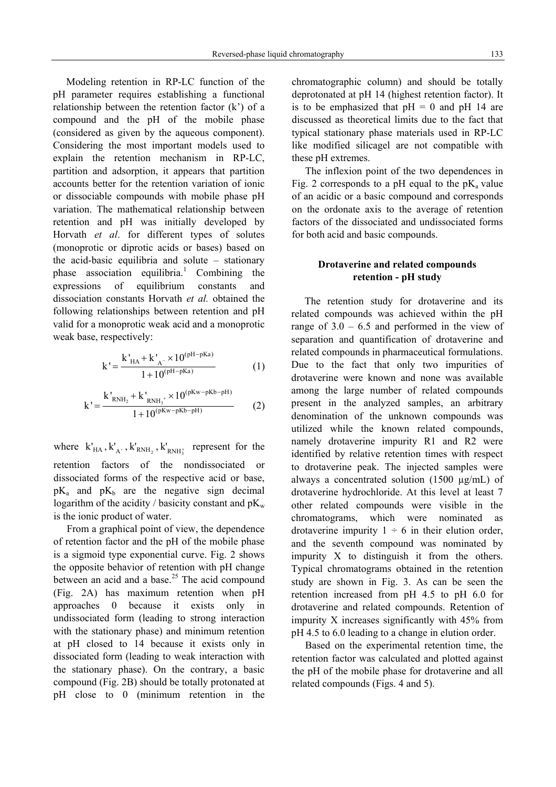Modeling retention in RP-LC function of the pH parameter requires establishing a functional relationship between the retention factor (k') of a compound and the pH of the mobile phase (considered as given by the aqueous component). Considering the most important models used to explain the retention mechanism in RP-LC, partition and adsorption, it appears that partition accounts better for the retention variation of ionic or dissociable compounds with mobile phase pH variation. The mathematical relationship between retention and pH was initially developed by Horvath *et al*. for different types of solutes (monoprotic or diprotic acids or bases) based on the acid-basic equilibria and solute – stationary phase association equilibria.<sup>1</sup> Combining the expressions of equilibrium constants and dissociation constants Horvath *et al.* obtained the following relationships between retention and pH valid for a monoprotic weak acid and a monoprotic weak base, respectively:

$$
k' = \frac{k'_{HA} + k'_{A^-} \times 10^{(pH-pKa)}}{1 + 10^{(pH-pKa)}}
$$
 (1)

$$
k' = \frac{k'_{RNH_2} + k'_{RNH_3^+} \times 10^{(pKw - pKb - pH)}}{1 + 10^{(pKw - pKb - pH)}} \tag{2}
$$

where  $k'_{HA}$ ,  $k'_{A}$ ,  $k'_{RNH_2}$ ,  $k'_{RNH_3^+}$  represent for the retention factors of the nondissociated or dissociated forms of the respective acid or base,  $pK_a$  and  $pK_b$  are the negative sign decimal logarithm of the acidity / basicity constant and  $pK_w$ is the ionic product of water.

From a graphical point of view, the dependence of retention factor and the pH of the mobile phase is a sigmoid type exponential curve. Fig. 2 shows the opposite behavior of retention with pH change between an acid and a base.<sup>25</sup> The acid compound (Fig. 2A) has maximum retention when pH approaches 0 because it exists only in undissociated form (leading to strong interaction with the stationary phase) and minimum retention at pH closed to 14 because it exists only in dissociated form (leading to weak interaction with the stationary phase). On the contrary, a basic compound (Fig. 2B) should be totally protonated at pH close to 0 (minimum retention in the

chromatographic column) and should be totally deprotonated at pH 14 (highest retention factor). It is to be emphasized that  $pH = 0$  and  $pH$  14 are discussed as theoretical limits due to the fact that typical stationary phase materials used in RP-LC like modified silicagel are not compatible with these pH extremes.

The inflexion point of the two dependences in Fig. 2 corresponds to a pH equal to the  $pK_a$  value of an acidic or a basic compound and corresponds on the ordonate axis to the average of retention factors of the dissociated and undissociated forms for both acid and basic compounds.

## **Drotaverine and related compounds retention - pH study**

The retention study for drotaverine and its related compounds was achieved within the pH range of  $3.0 - 6.5$  and performed in the view of separation and quantification of drotaverine and related compounds in pharmaceutical formulations. Due to the fact that only two impurities of drotaverine were known and none was available among the large number of related compounds present in the analyzed samples, an arbitrary denomination of the unknown compounds was utilized while the known related compounds, namely drotaverine impurity R1 and R2 were identified by relative retention times with respect to drotaverine peak. The injected samples were always a concentrated solution (1500 µg/mL) of drotaverine hydrochloride. At this level at least 7 other related compounds were visible in the chromatograms, which were nominated as drotaverine impurity  $1 \div 6$  in their elution order, and the seventh compound was nominated by impurity X to distinguish it from the others. Typical chromatograms obtained in the retention study are shown in Fig. 3. As can be seen the retention increased from pH 4.5 to pH 6.0 for drotaverine and related compounds. Retention of impurity X increases significantly with 45% from pH 4.5 to 6.0 leading to a change in elution order.

Based on the experimental retention time, the retention factor was calculated and plotted against the pH of the mobile phase for drotaverine and all related compounds (Figs. 4 and 5).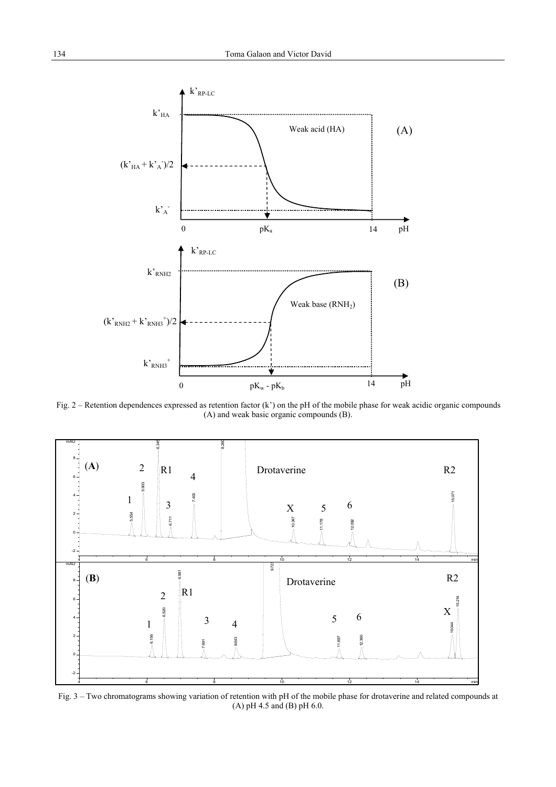

Fig. 2 – Retention dependences expressed as retention factor  $(k')$  on the pH of the mobile phase for weak acidic organic compounds (A) and weak basic organic compounds (B).



Fig. 3 – Two chromatograms showing variation of retention with pH of the mobile phase for drotaverine and related compounds at (A) pH 4.5 and (B) pH 6.0.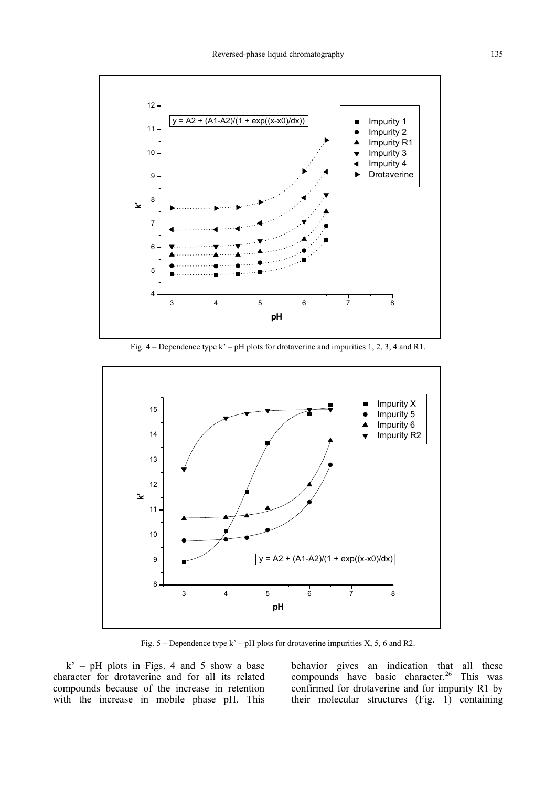

Fig. 4 – Dependence type k' – pH plots for drotaverine and impurities 1, 2, 3, 4 and R1.



Fig.  $5$  – Dependence type k' – pH plots for drotaverine impurities X, 5, 6 and R2.

 $k'$  – pH plots in Figs. 4 and 5 show a base character for drotaverine and for all its related compounds because of the increase in retention with the increase in mobile phase pH. This

behavior gives an indication that all these compounds have basic character.<sup>26</sup> This was confirmed for drotaverine and for impurity R1 by their molecular structures (Fig. 1) containing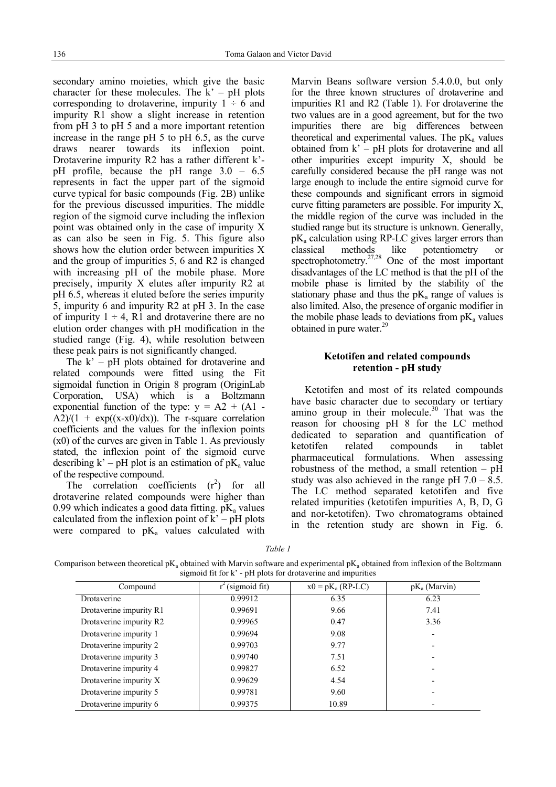secondary amino moieties, which give the basic character for these molecules. The  $k' - pH$  plots corresponding to drotaverine, impurity  $1 \div 6$  and impurity R1 show a slight increase in retention from pH 3 to pH 5 and a more important retention increase in the range pH 5 to pH  $\overline{6.5}$ , as the curve draws nearer towards its inflexion point. Drotaverine impurity R2 has a rather different k' pH profile, because the pH range 3.0 – 6.5 represents in fact the upper part of the sigmoid curve typical for basic compounds (Fig. 2B) unlike for the previous discussed impurities. The middle region of the sigmoid curve including the inflexion point was obtained only in the case of impurity X as can also be seen in Fig. 5. This figure also shows how the elution order between impurities X and the group of impurities 5, 6 and R2 is changed with increasing pH of the mobile phase. More precisely, impurity X elutes after impurity R2 at pH 6.5, whereas it eluted before the series impurity 5, impurity 6 and impurity R2 at pH 3. In the case of impurity  $1 \div 4$ , R1 and drotaverine there are no elution order changes with pH modification in the studied range (Fig. 4), while resolution between these peak pairs is not significantly changed.

The k' – pH plots obtained for drotaverine and related compounds were fitted using the Fit sigmoidal function in Origin 8 program (OriginLab Corporation, USA) which is a Boltzmann exponential function of the type:  $v = A2 + (A1 A2/(1 + \exp((x-x))/dx)$ ). The r-square correlation coefficients and the values for the inflexion points (x0) of the curves are given in Table 1. As previously stated, the inflexion point of the sigmoid curve describing  $k'$  – pH plot is an estimation of pK<sub>a</sub> value of the respective compound.

The correlation coefficients  $(r^2)$  for all drotaverine related compounds were higher than 0.99 which indicates a good data fitting.  $pK_a$  values calculated from the inflexion point of  $k'$  – pH plots were compared to  $pK_a$  values calculated with

Marvin Beans software version 5.4.0.0, but only for the three known structures of drotaverine and impurities R1 and R2 (Table 1). For drotaverine the two values are in a good agreement, but for the two impurities there are big differences between theoretical and experimental values. The  $pK_a$  values obtained from k' – pH plots for drotaverine and all other impurities except impurity X, should be carefully considered because the pH range was not large enough to include the entire sigmoid curve for these compounds and significant errors in sigmoid curve fitting parameters are possible. For impurity X, the middle region of the curve was included in the studied range but its structure is unknown. Generally,  $pK_a$  calculation using RP-LC gives larger errors than classical methods like potentiometry or spectrophotometry. $27,28$  One of the most important disadvantages of the LC method is that the pH of the mobile phase is limited by the stability of the stationary phase and thus the  $pK_a$  range of values is also limited. Also, the presence of organic modifier in the mobile phase leads to deviations from  $pK_a$  values obtained in pure water. $29$ 

### **Ketotifen and related compounds retention - pH study**

Ketotifen and most of its related compounds have basic character due to secondary or tertiary amino group in their molecule. $30$  That was the reason for choosing pH 8 for the LC method dedicated to separation and quantification of ketotifen related compounds in tablet pharmaceutical formulations. When assessing robustness of the method, a small retention – pH study was also achieved in the range pH  $7.0 - 8.5$ . The LC method separated ketotifen and five related impurities (ketotifen impurities A, B, D, G and nor-ketotifen). Two chromatograms obtained in the retention study are shown in Fig. 6.

*Table 1* 

Comparison between theoretical  $pK_a$  obtained with Marvin software and experimental  $pK_a$  obtained from inflexion of the Boltzmann sigmoid fit for k' - pH plots for drotaverine and impurities

| Compound                | (sigmoid fit) | $x0 = pK_a (RP-LC)$ | $pK_a$ (Marvin) |
|-------------------------|---------------|---------------------|-----------------|
| Drotaverine             | 0.99912       | 6.35                | 6.23            |
| Drotaverine impurity R1 | 0.99691       | 9.66                | 7.41            |
| Drotaverine impurity R2 | 0.99965       | 0.47                | 3.36            |
| Drotaverine impurity 1  | 0.99694       | 9.08                |                 |
| Drotaverine impurity 2  | 0.99703       | 9.77                |                 |
| Drotaverine impurity 3  | 0.99740       | 7.51                |                 |
| Drotaverine impurity 4  | 0.99827       | 6.52                |                 |
| Drotaverine impurity X  | 0.99629       | 4.54                |                 |
| Drotaverine impurity 5  | 0.99781       | 9.60                |                 |
| Drotaverine impurity 6  | 0.99375       | 10.89               |                 |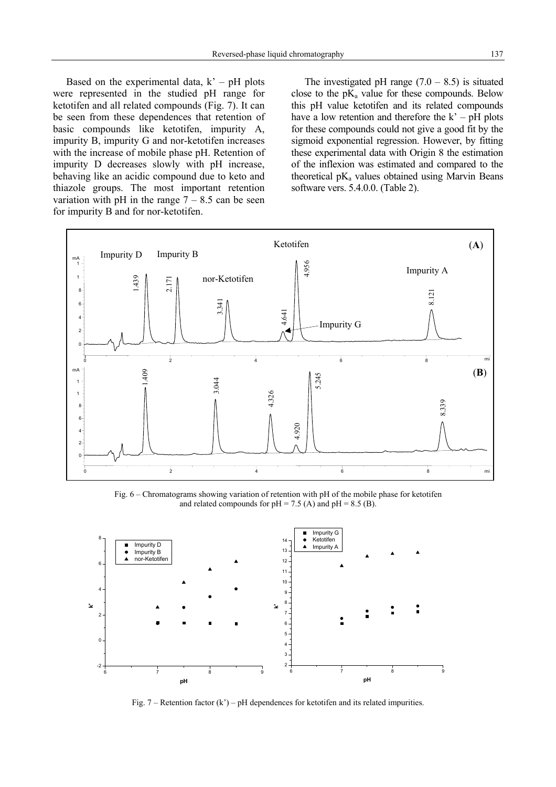Based on the experimental data,  $k' - pH$  plots were represented in the studied pH range for ketotifen and all related compounds (Fig. 7). It can be seen from these dependences that retention of basic compounds like ketotifen, impurity A, impurity B, impurity G and nor-ketotifen increases with the increase of mobile phase pH. Retention of impurity D decreases slowly with pH increase, behaving like an acidic compound due to keto and thiazole groups. The most important retention variation with pH in the range  $7 - 8.5$  can be seen for impurity B and for nor-ketotifen.

The investigated pH range  $(7.0 - 8.5)$  is situated close to the  $pK_a$  value for these compounds. Below this pH value ketotifen and its related compounds have a low retention and therefore the  $k' - pH$  plots for these compounds could not give a good fit by the sigmoid exponential regression. However, by fitting these experimental data with Origin 8 the estimation of the inflexion was estimated and compared to the theoretical  $pK_a$  values obtained using Marvin Beans software vers. 5.4.0.0. (Table 2).



Fig. 6 – Chromatograms showing variation of retention with pH of the mobile phase for ketotifen and related compounds for  $pH = 7.5$  (A) and  $pH = 8.5$  (B).



Fig.  $7$  – Retention factor (k') – pH dependences for ketotifen and its related impurities.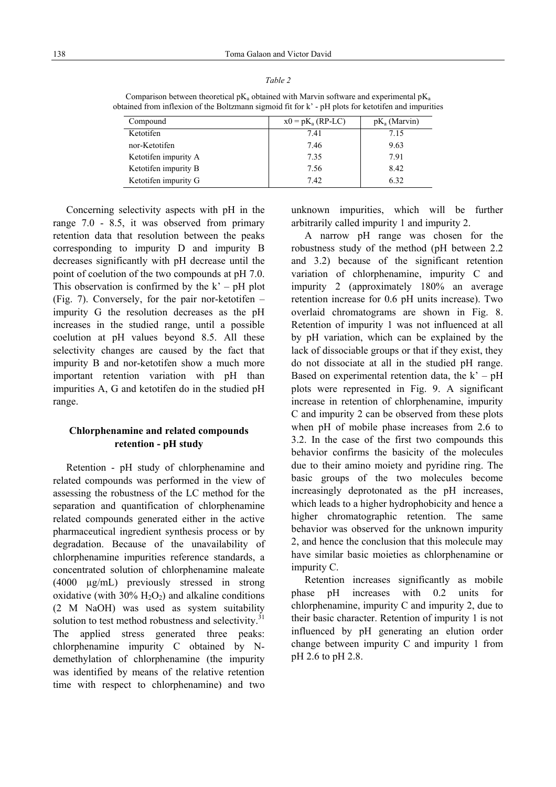| ۰, |  |
|----|--|

Comparison between theoretical  $pK_a$  obtained with Marvin software and experimental  $pK_a$ obtained from inflexion of the Boltzmann sigmoid fit for k' - pH plots for ketotifen and impurities

| Compound             | $x0 = pK_a (RP-LC)$ | $pK_a$ (Marvin) |
|----------------------|---------------------|-----------------|
| Ketotifen            | 7.41                | 7.15            |
| nor-Ketotifen        | 7.46                | 9.63            |
| Ketotifen impurity A | 7.35                | 791             |
| Ketotifen impurity B | 7.56                | 8.42            |
| Ketotifen impurity G | 742                 | 6.32            |

Concerning selectivity aspects with pH in the range 7.0 - 8.5, it was observed from primary retention data that resolution between the peaks corresponding to impurity D and impurity B decreases significantly with pH decrease until the point of coelution of the two compounds at pH 7.0. This observation is confirmed by the  $k' - pH$  plot (Fig. 7). Conversely, for the pair nor-ketotifen – impurity G the resolution decreases as the pH increases in the studied range, until a possible coelution at pH values beyond 8.5. All these selectivity changes are caused by the fact that impurity B and nor-ketotifen show a much more important retention variation with pH than impurities A, G and ketotifen do in the studied pH range.

# **Chlorphenamine and related compounds retention - pH study**

Retention - pH study of chlorphenamine and related compounds was performed in the view of assessing the robustness of the LC method for the separation and quantification of chlorphenamine related compounds generated either in the active pharmaceutical ingredient synthesis process or by degradation. Because of the unavailability of chlorphenamine impurities reference standards, a concentrated solution of chlorphenamine maleate (4000 µg/mL) previously stressed in strong oxidative (with  $30\%$  H<sub>2</sub>O<sub>2</sub>) and alkaline conditions (2 M NaOH) was used as system suitability solution to test method robustness and selectivity. $31$ The applied stress generated three peaks: chlorphenamine impurity C obtained by Ndemethylation of chlorphenamine (the impurity was identified by means of the relative retention time with respect to chlorphenamine) and two unknown impurities, which will be further arbitrarily called impurity 1 and impurity 2.

A narrow pH range was chosen for the robustness study of the method (pH between 2.2 and 3.2) because of the significant retention variation of chlorphenamine, impurity C and impurity 2 (approximately 180% an average retention increase for 0.6 pH units increase). Two overlaid chromatograms are shown in Fig. 8. Retention of impurity 1 was not influenced at all by pH variation, which can be explained by the lack of dissociable groups or that if they exist, they do not dissociate at all in the studied pH range. Based on experimental retention data, the  $k' - pH$ plots were represented in Fig. 9. A significant increase in retention of chlorphenamine, impurity C and impurity 2 can be observed from these plots when pH of mobile phase increases from 2.6 to 3.2. In the case of the first two compounds this behavior confirms the basicity of the molecules due to their amino moiety and pyridine ring. The basic groups of the two molecules become increasingly deprotonated as the pH increases, which leads to a higher hydrophobicity and hence a higher chromatographic retention. The same behavior was observed for the unknown impurity 2, and hence the conclusion that this molecule may have similar basic moieties as chlorphenamine or impurity C.

Retention increases significantly as mobile phase pH increases with 0.2 units for chlorphenamine, impurity C and impurity 2, due to their basic character. Retention of impurity 1 is not influenced by pH generating an elution order change between impurity C and impurity 1 from pH 2.6 to pH 2.8.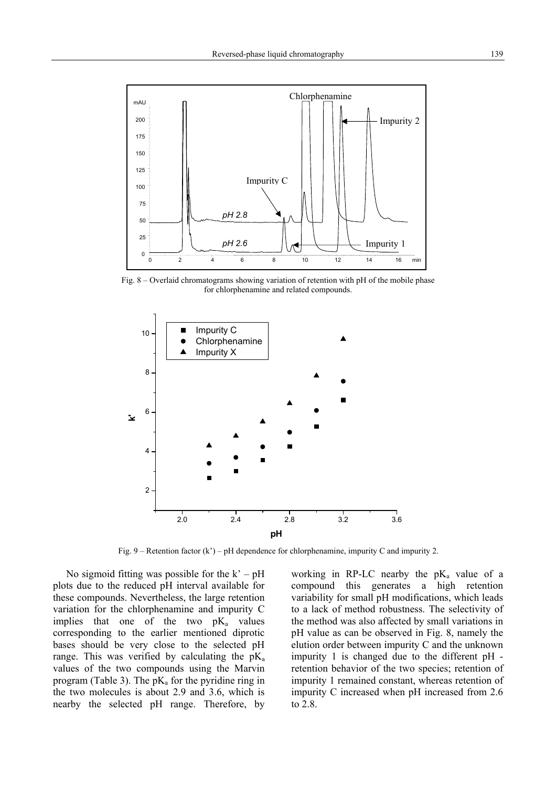

Fig. 8 – Overlaid chromatograms showing variation of retention with pH of the mobile phase for chlorphenamine and related compounds.



Fig. 9 – Retention factor (k') – pH dependence for chlorphenamine, impurity C and impurity 2.

No sigmoid fitting was possible for the  $k' - pH$ plots due to the reduced pH interval available for these compounds. Nevertheless, the large retention variation for the chlorphenamine and impurity C implies that one of the two  $pK_a$  values corresponding to the earlier mentioned diprotic bases should be very close to the selected pH range. This was verified by calculating the  $pK_a$ values of the two compounds using the Marvin program (Table 3). The  $pK_a$  for the pyridine ring in the two molecules is about 2.9 and 3.6, which is nearby the selected pH range. Therefore, by working in RP-LC nearby the  $pK_a$  value of a compound this generates a high retention variability for small pH modifications, which leads to a lack of method robustness. The selectivity of the method was also affected by small variations in pH value as can be observed in Fig. 8, namely the elution order between impurity C and the unknown impurity 1 is changed due to the different pH retention behavior of the two species; retention of impurity 1 remained constant, whereas retention of impurity C increased when pH increased from 2.6 to 2.8.